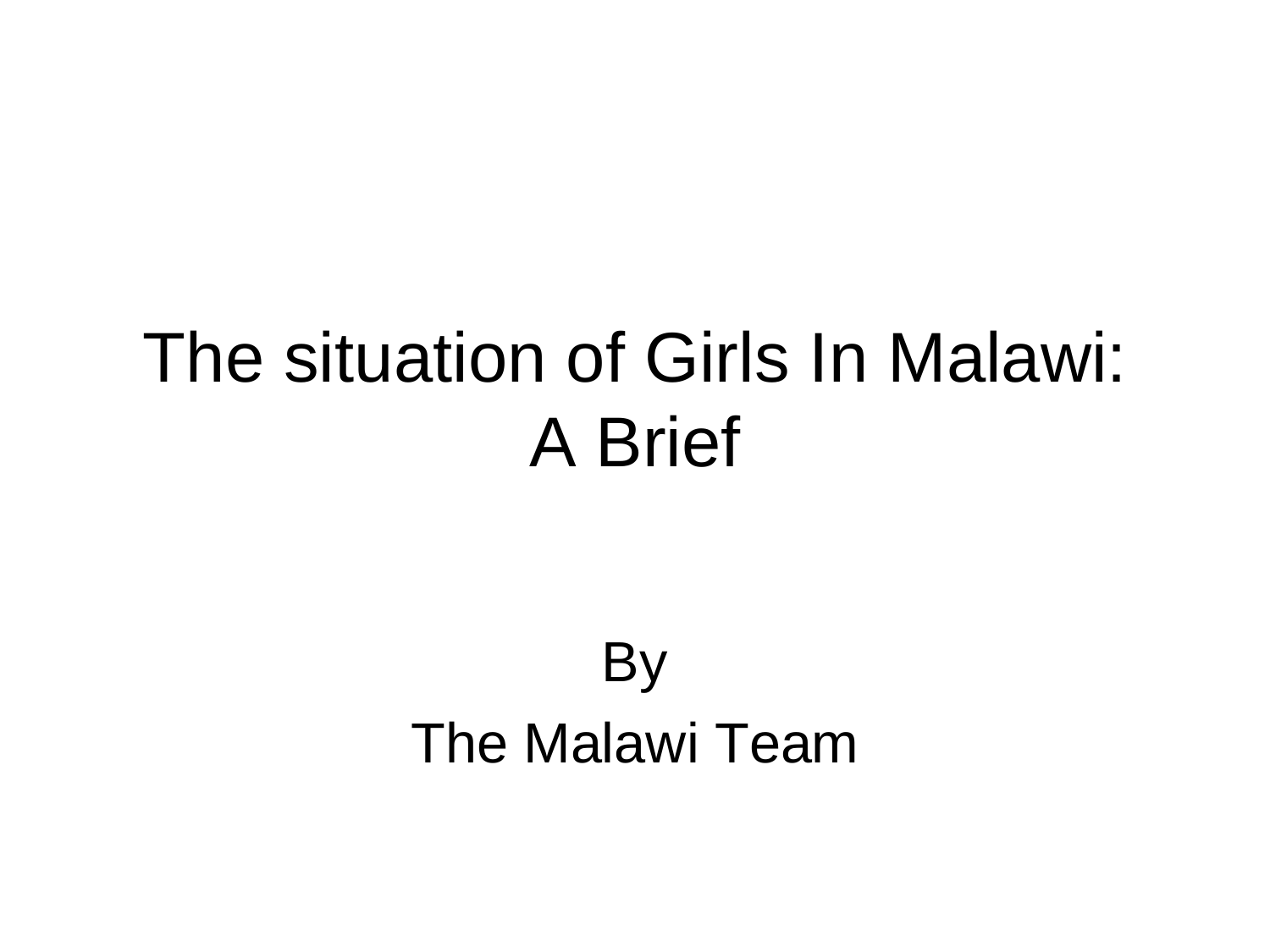## The situation of Girls In Malawi: A Brief

#### **By** The Malawi Team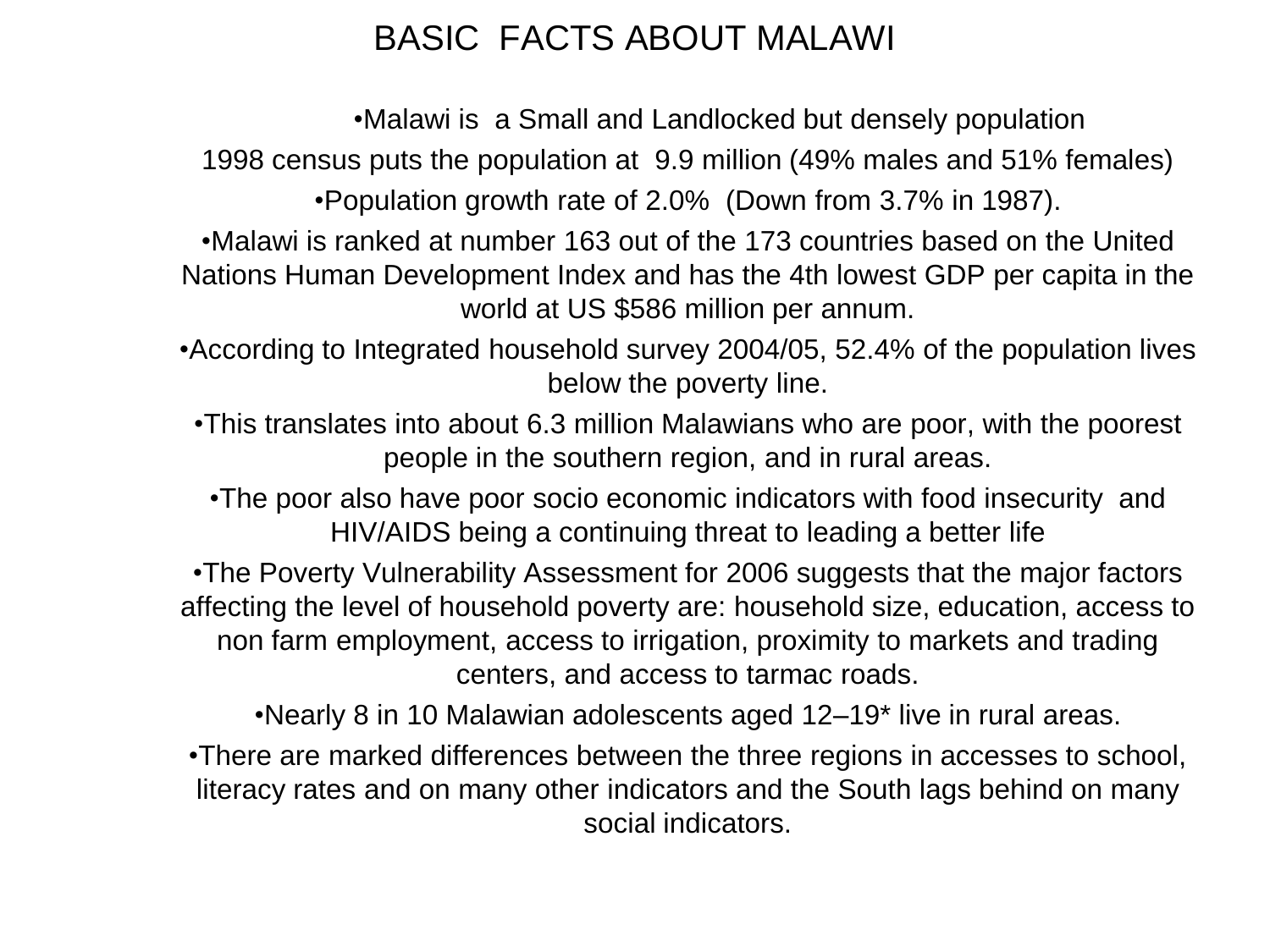#### BASIC FACTS ABOUT MALAWI

•Malawi is a Small and Landlocked but densely population

1998 census puts the population at 9.9 million (49% males and 51% females)

•Population growth rate of 2.0% (Down from 3.7% in 1987).

•Malawi is ranked at number 163 out of the 173 countries based on the United Nations Human Development Index and has the 4th lowest GDP per capita in the world at US \$586 million per annum.

•According to Integrated household survey 2004/05, 52.4% of the population lives below the poverty line.

•This translates into about 6.3 million Malawians who are poor, with the poorest people in the southern region, and in rural areas.

•The poor also have poor socio economic indicators with food insecurity and HIV/AIDS being a continuing threat to leading a better life

•The Poverty Vulnerability Assessment for 2006 suggests that the major factors affecting the level of household poverty are: household size, education, access to non farm employment, access to irrigation, proximity to markets and trading centers, and access to tarmac roads.

•Nearly 8 in 10 Malawian adolescents aged 12–19\* live in rural areas.

•There are marked differences between the three regions in accesses to school, literacy rates and on many other indicators and the South lags behind on many social indicators.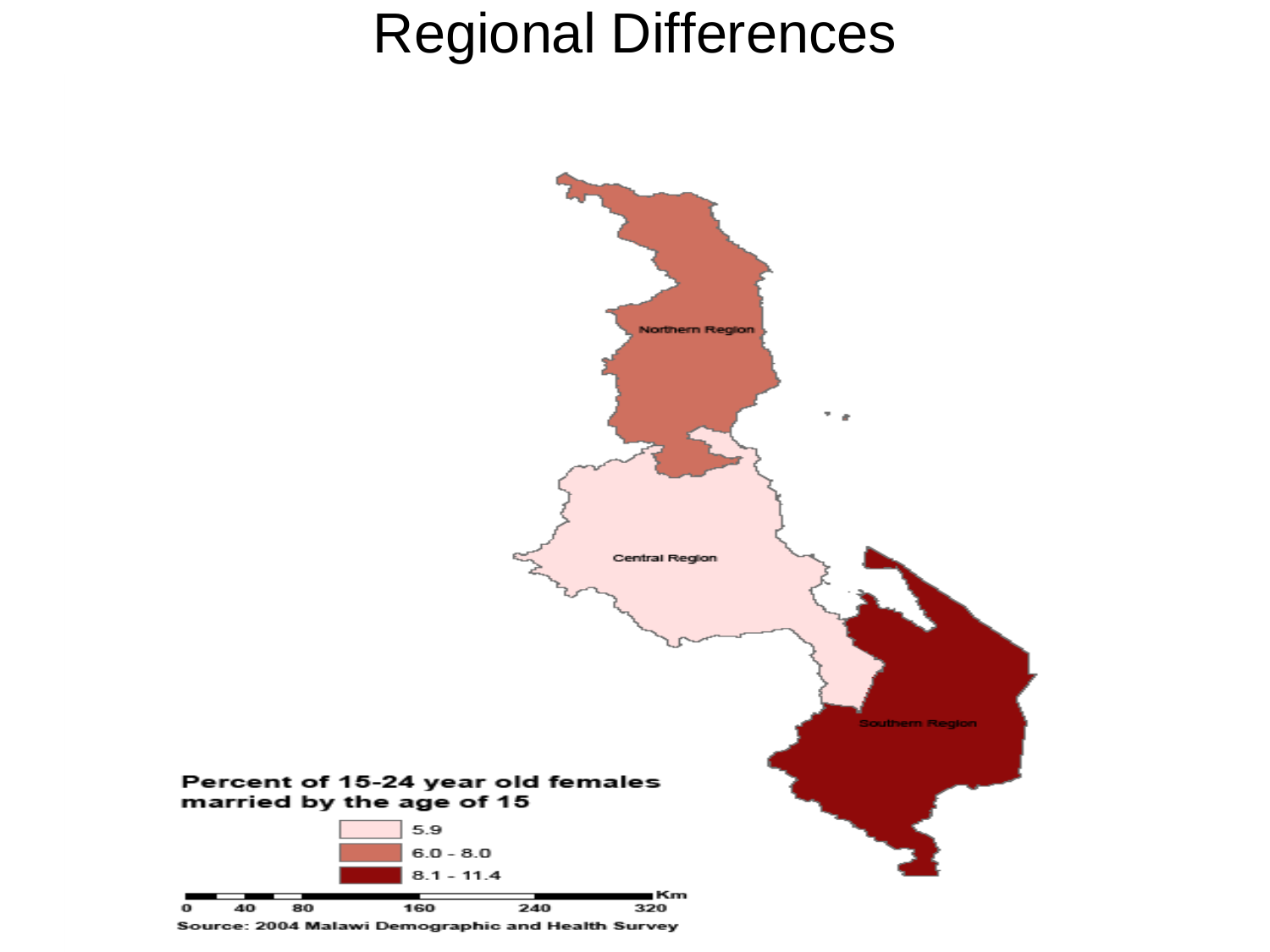#### Regional Differences



Source: 2004 Malawi Demographic and Health Survey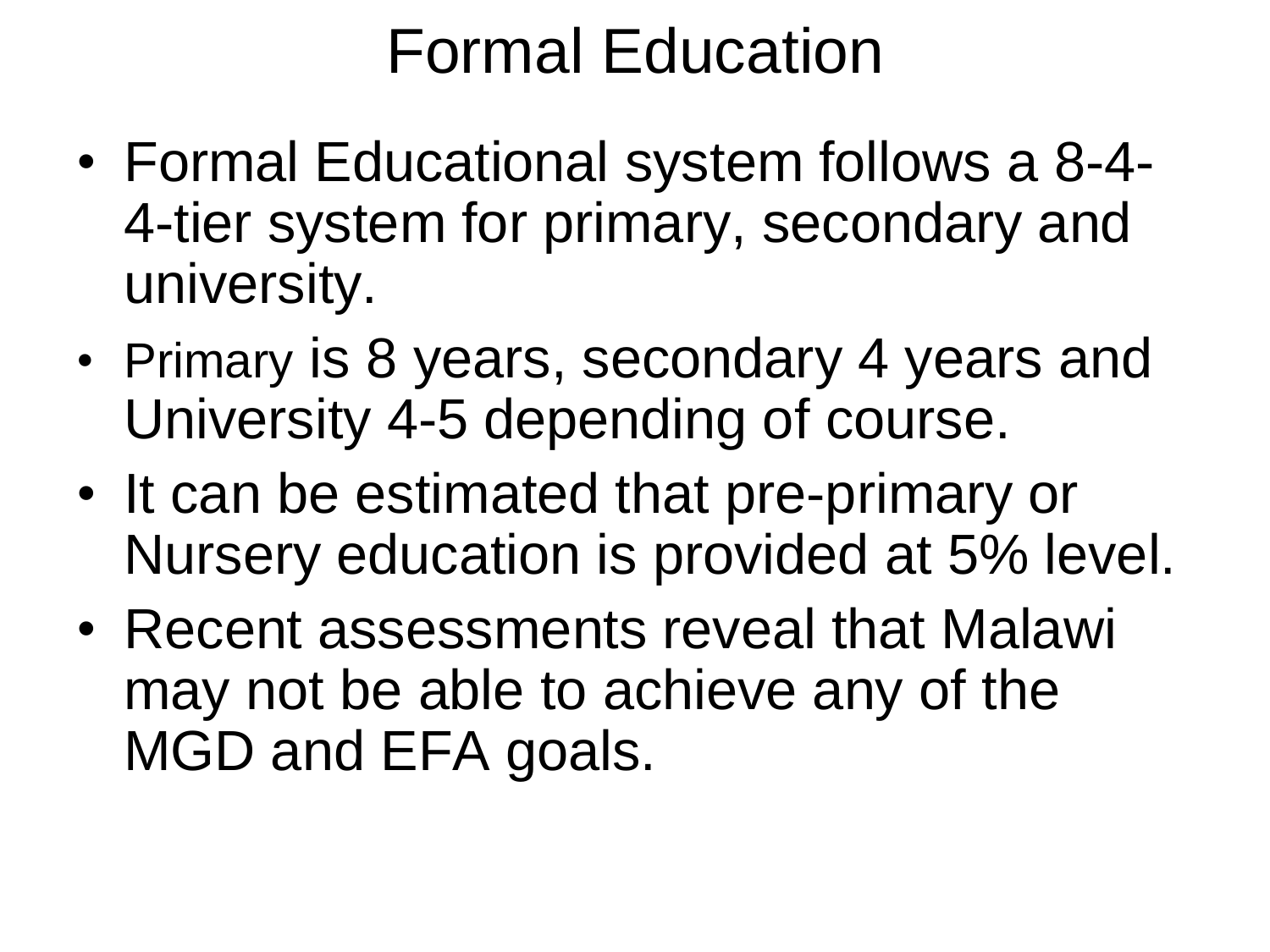### Formal Education

- Formal Educational system follows a 8-4- 4-tier system for primary, secondary and university.
- Primary is 8 years, secondary 4 years and University 4-5 depending of course.
- It can be estimated that pre-primary or Nursery education is provided at 5% level.
- Recent assessments reveal that Malawi may not be able to achieve any of the MGD and EFA goals.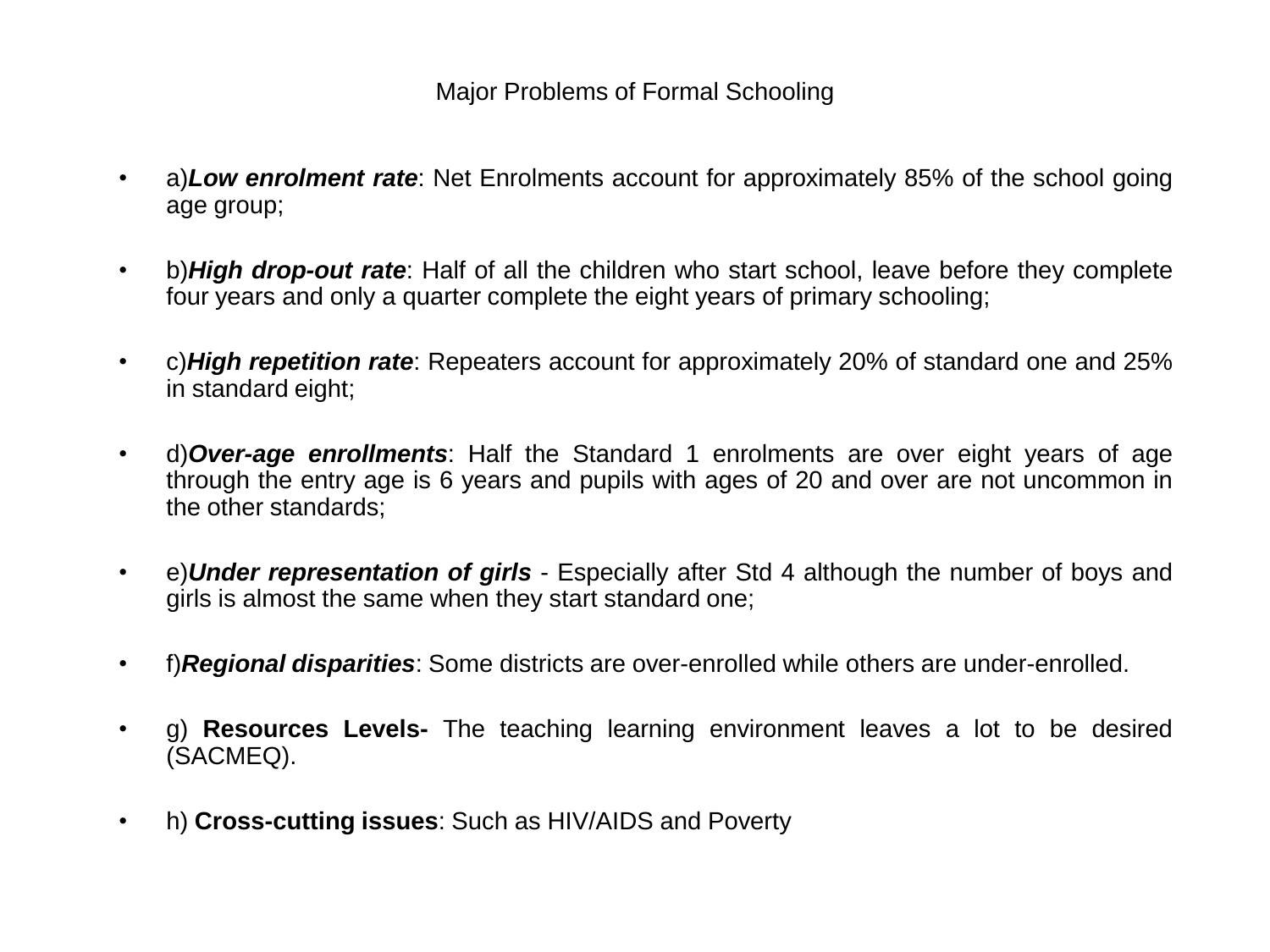#### Major Problems of Formal Schooling

- a)*Low enrolment rate*: Net Enrolments account for approximately 85% of the school going age group;
- b)*High drop-out rate*: Half of all the children who start school, leave before they complete four years and only a quarter complete the eight years of primary schooling;
- c)*High repetition rate*: Repeaters account for approximately 20% of standard one and 25% in standard eight;
- d)*Over-age enrollments*: Half the Standard 1 enrolments are over eight years of age through the entry age is 6 years and pupils with ages of 20 and over are not uncommon in the other standards;
- e)*Under representation of girls* Especially after Std 4 although the number of boys and girls is almost the same when they start standard one;
- f)*Regional disparities*: Some districts are over-enrolled while others are under-enrolled.
- g) **Resources Levels-** The teaching learning environment leaves a lot to be desired (SACMEQ).
- h) **Cross-cutting issues**: Such as HIV/AIDS and Poverty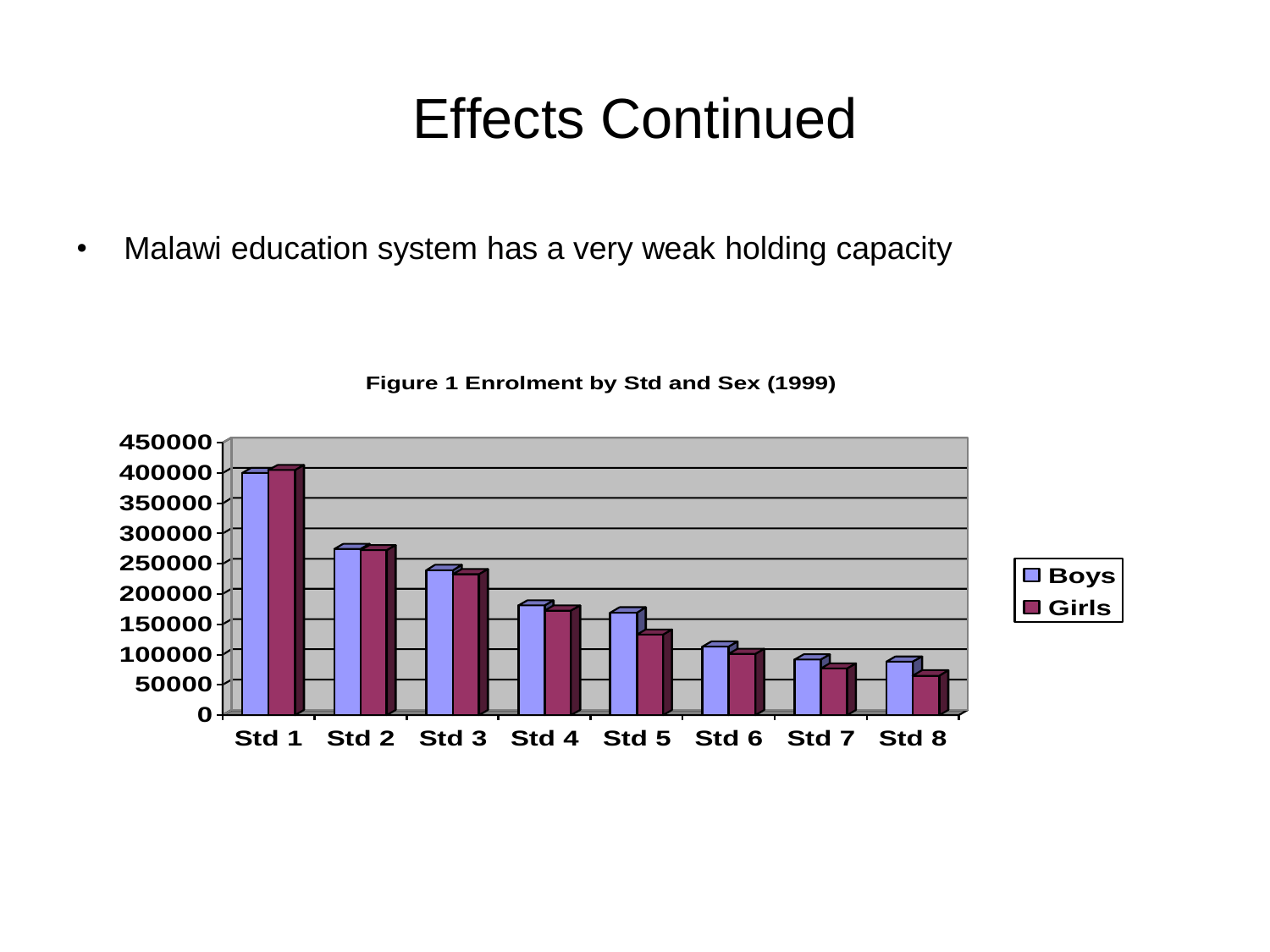#### Effects Continued

• Malawi education system has a very weak holding capacity



**Figure 1 Enrolment by Std and Sex (1999)**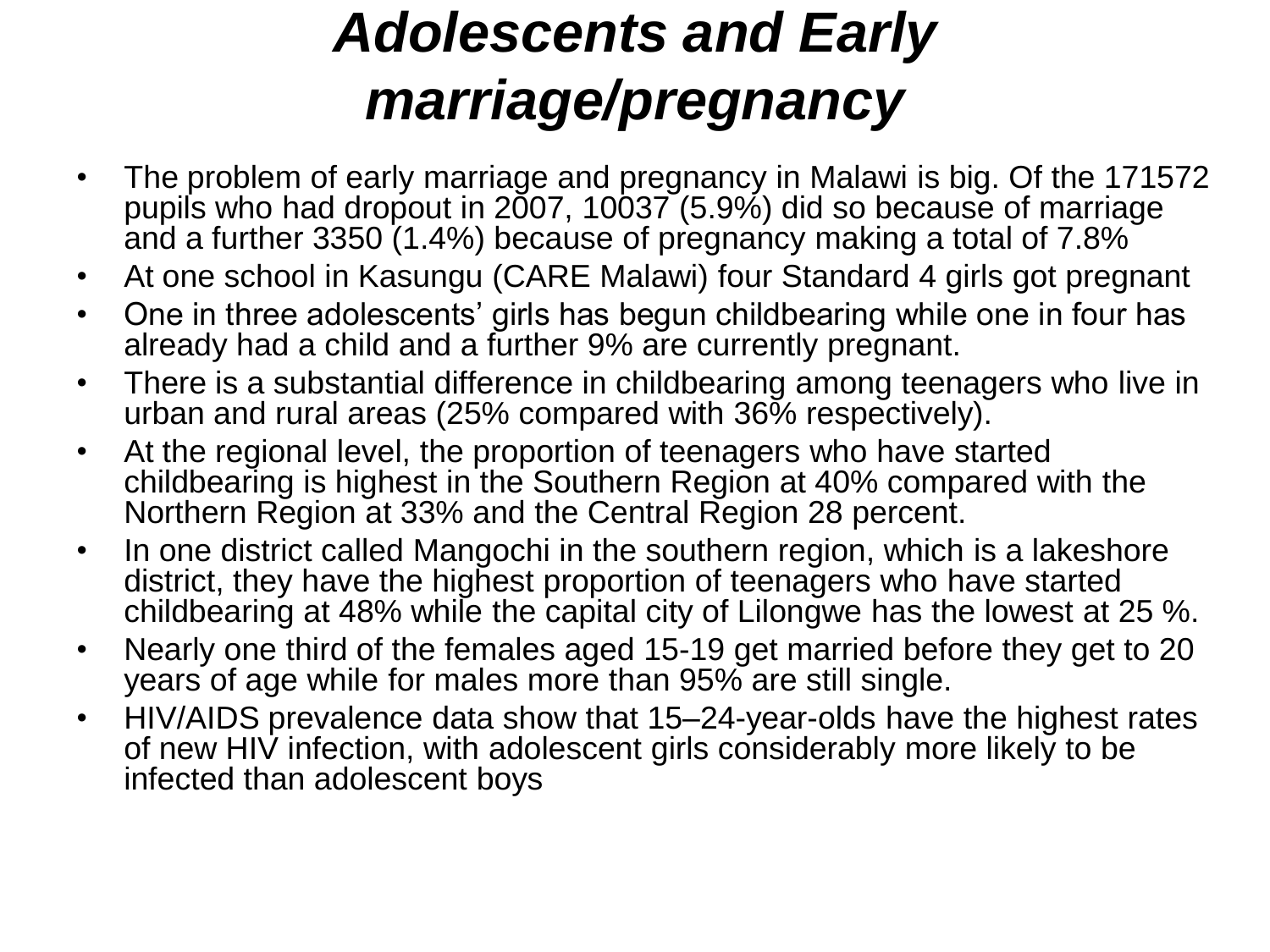#### *Adolescents and Early marriage/pregnancy*

- The problem of early marriage and pregnancy in Malawi is big. Of the 171572 pupils who had dropout in 2007, 10037 (5.9%) did so because of marriage and a further 3350 (1.4%) because of pregnancy making a total of 7.8%
- At one school in Kasungu (CARE Malawi) four Standard 4 girls got pregnant
- One in three adolescents' girls has begun childbearing while one in four has already had a child and a further 9% are currently pregnant.
- There is a substantial difference in childbearing among teenagers who live in urban and rural areas (25% compared with 36% respectively).
- At the regional level, the proportion of teenagers who have started childbearing is highest in the Southern Region at 40% compared with the Northern Region at 33% and the Central Region 28 percent.
- In one district called Mangochi in the southern region, which is a lakeshore district, they have the highest proportion of teenagers who have started childbearing at 48% while the capital city of Lilongwe has the lowest at 25 %.
- Nearly one third of the females aged 15-19 get married before they get to 20 years of age while for males more than 95% are still single.
- HIV/AIDS prevalence data show that 15–24-year-olds have the highest rates of new HIV infection, with adolescent girls considerably more likely to be infected than adolescent boys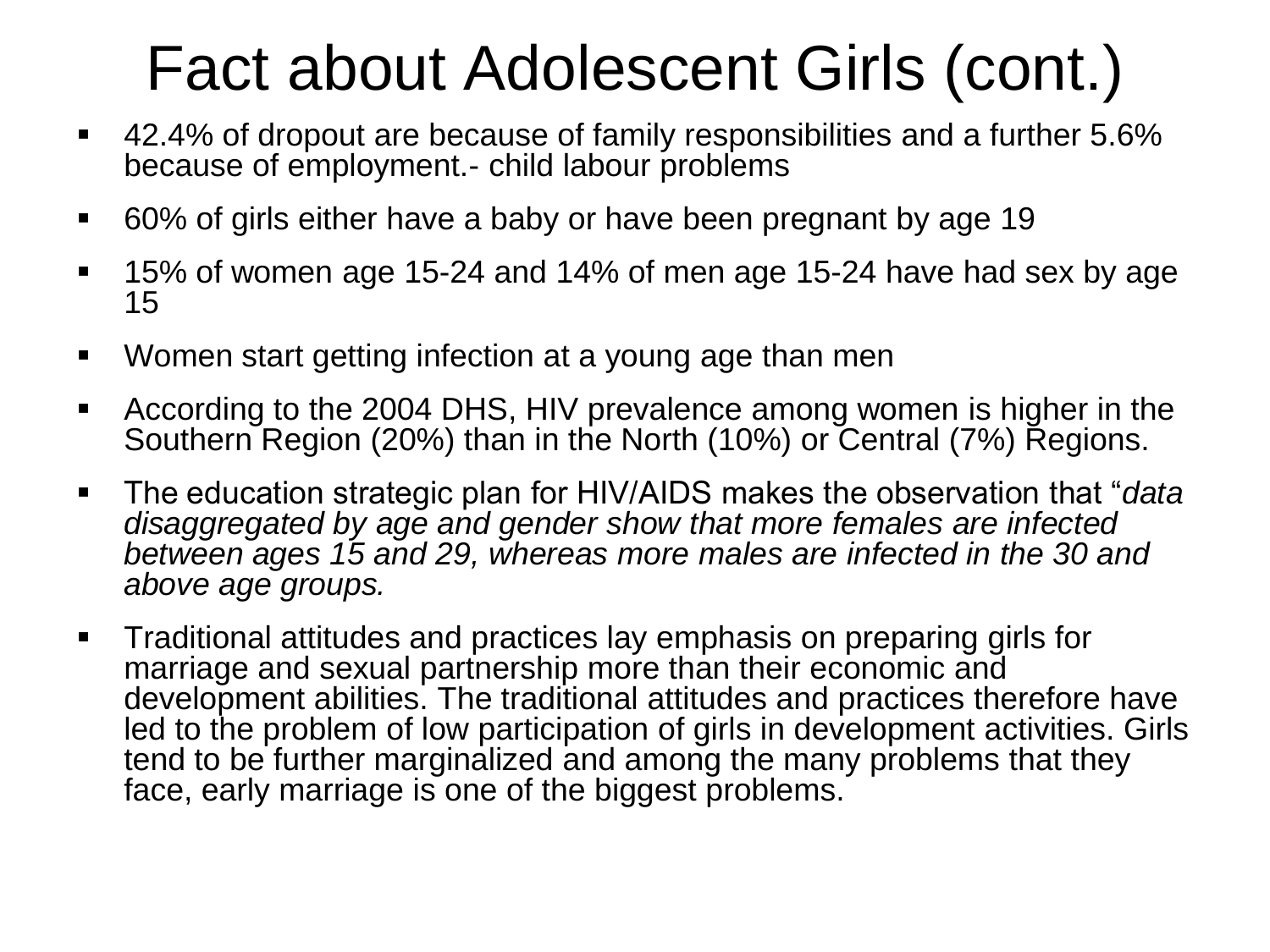## Fact about Adolescent Girls (cont.)

- 42.4% of dropout are because of family responsibilities and a further 5.6% because of employment.- child labour problems
- 60% of girls either have a baby or have been pregnant by age 19
- 15% of women age 15-24 and 14% of men age 15-24 have had sex by age 15
- Women start getting infection at a young age than men
- According to the 2004 DHS, HIV prevalence among women is higher in the Southern Region (20%) than in the North (10%) or Central (7%) Regions.
- The education strategic plan for HIV/AIDS makes the observation that "*data disaggregated by age and gender show that more females are infected between ages 15 and 29, whereas more males are infected in the 30 and above age groups.*
- **Traditional attitudes and practices lay emphasis on preparing girls for** marriage and sexual partnership more than their economic and development abilities. The traditional attitudes and practices therefore have led to the problem of low participation of girls in development activities. Girls tend to be further marginalized and among the many problems that they face, early marriage is one of the biggest problems.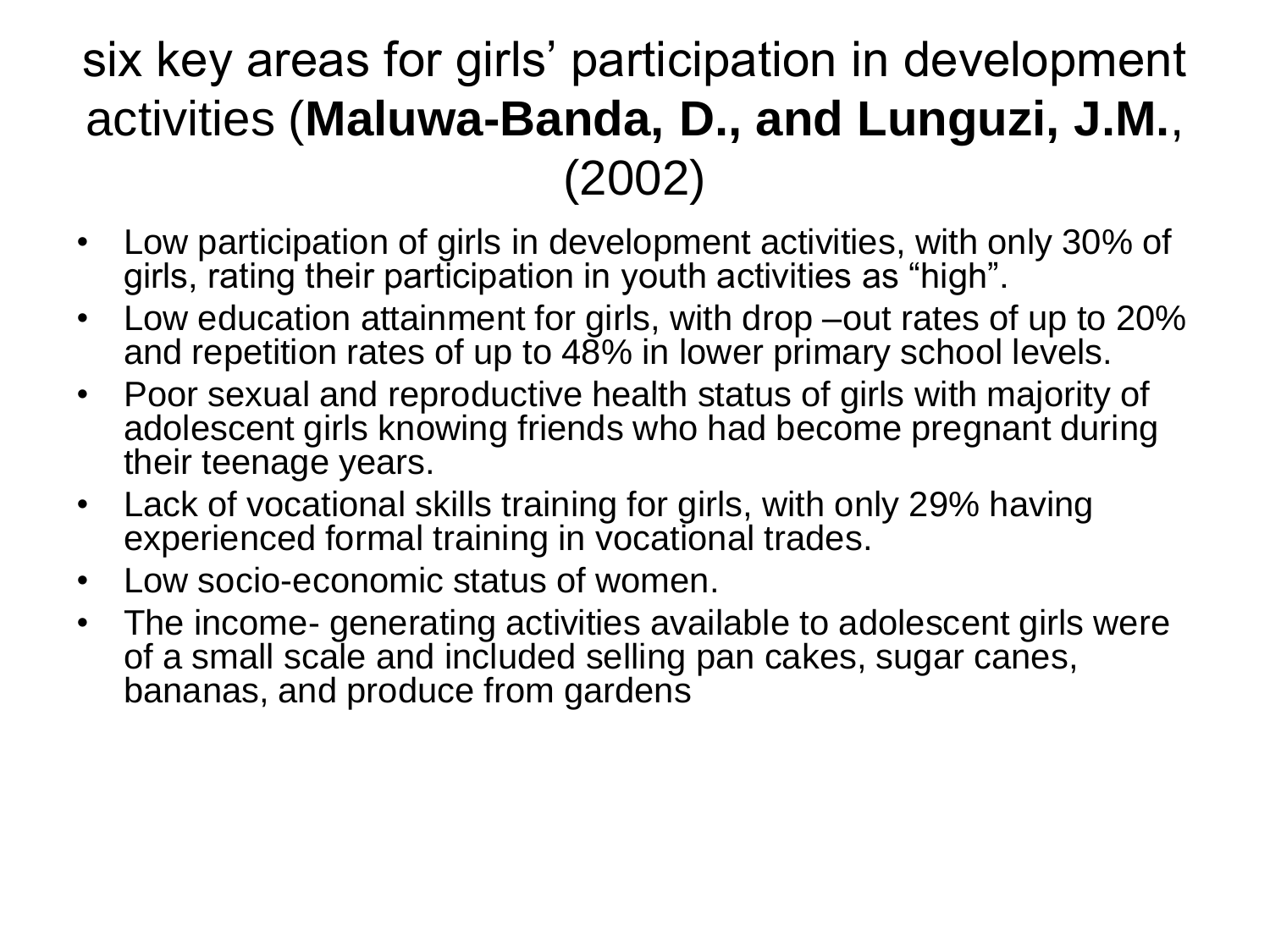#### six key areas for girls' participation in development activities (**Maluwa-Banda, D., and Lunguzi, J.M.**, (2002)

- Low participation of girls in development activities, with only 30% of girls, rating their participation in youth activities as "high".
- Low education attainment for girls, with drop –out rates of up to 20% and repetition rates of up to  $48\%$  in lower primary school levels.
- Poor sexual and reproductive health status of girls with majority of adolescent girls knowing friends who had become pregnant during their teenage years.
- Lack of vocational skills training for girls, with only 29% having experienced formal training in vocational trades.
- Low socio-economic status of women.
- The income- generating activities available to adolescent girls were of a small scale and included selling pan cakes, sugar canes, bananas, and produce from gardens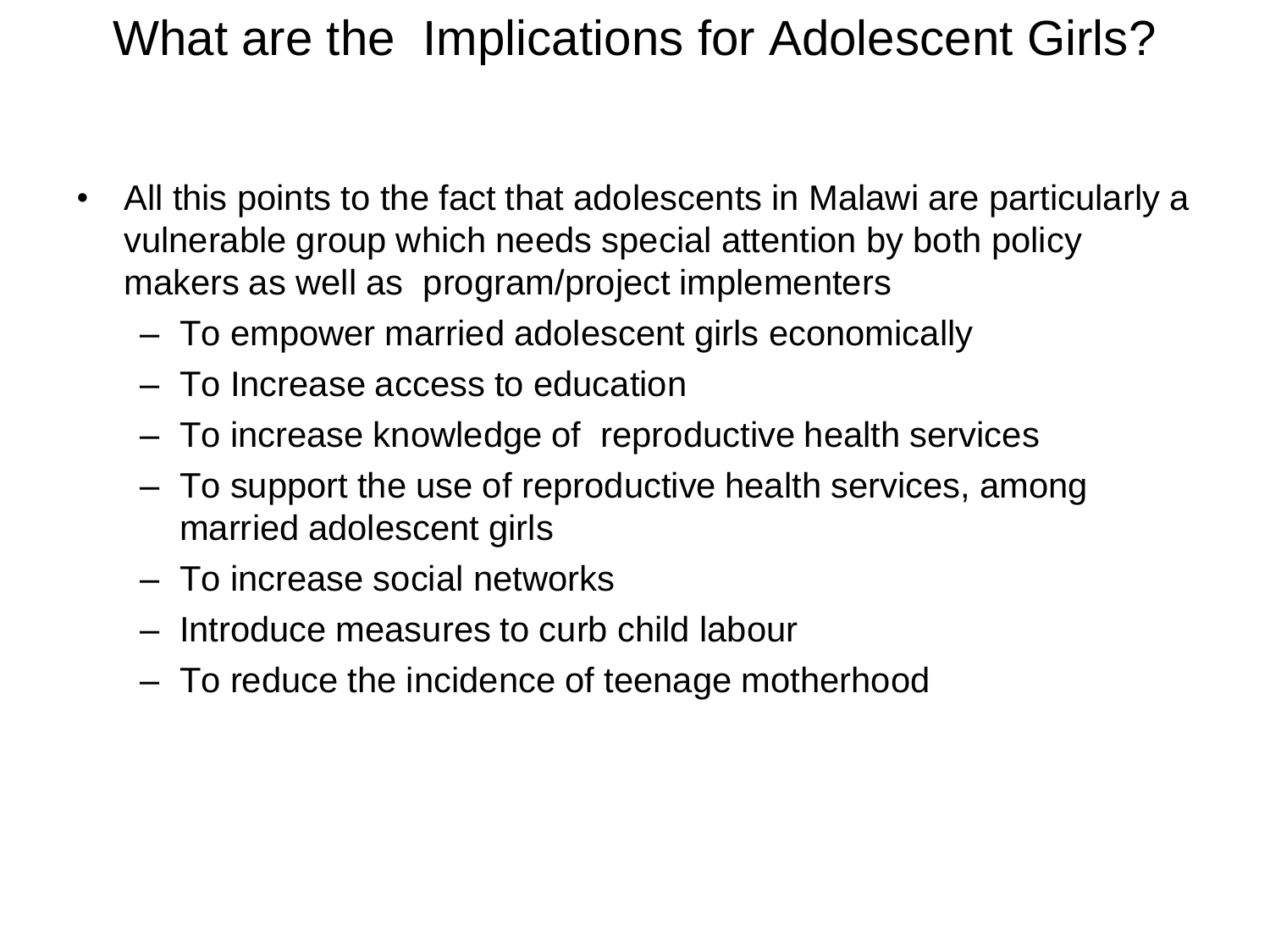#### What are the Implications for Adolescent Girls?

- All this points to the fact that adolescents in Malawi are particularly a vulnerable group which needs special attention by both policy makers as well as program/project implementers
	- To empower married adolescent girls economically
	- To Increase access to education
	- To increase knowledge of reproductive health services
	- To support the use of reproductive health services, among married adolescent girls
	- To increase social networks
	- Introduce measures to curb child labour
	- To reduce the incidence of teenage motherhood